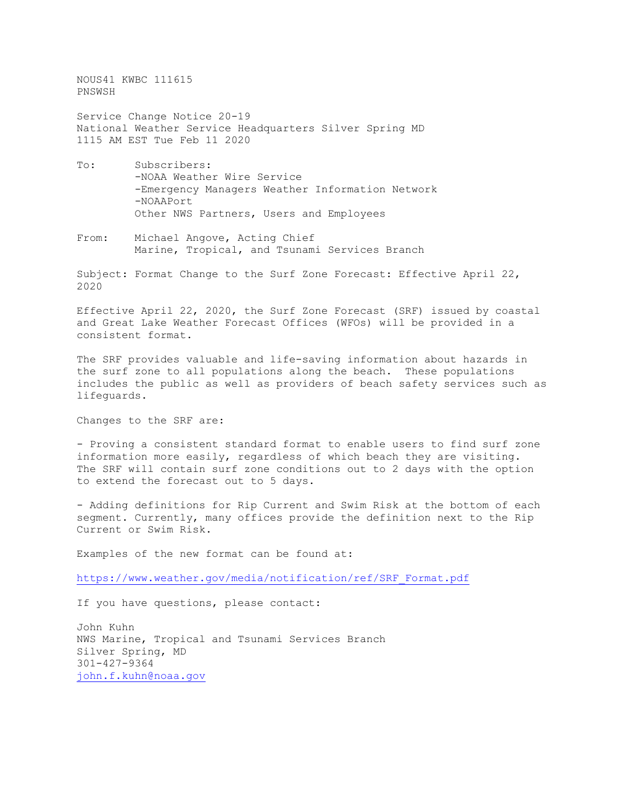NOUS41 KWBC 111615 PNSWSH

Service Change Notice 20-19 National Weather Service Headquarters Silver Spring MD 1115 AM EST Tue Feb 11 2020

- To: Subscribers: -NOAA Weather Wire Service -Emergency Managers Weather Information Network -NOAAPort Other NWS Partners, Users and Employees
- From: Michael Angove, Acting Chief Marine, Tropical, and Tsunami Services Branch

Subject: Format Change to the Surf Zone Forecast: Effective April 22, 2020

Effective April 22, 2020, the Surf Zone Forecast (SRF) issued by coastal and Great Lake Weather Forecast Offices (WFOs) will be provided in a consistent format.

The SRF provides valuable and life-saving information about hazards in the surf zone to all populations along the beach. These populations includes the public as well as providers of beach safety services such as lifeguards.

Changes to the SRF are:

- Proving a consistent standard format to enable users to find surf zone information more easily, regardless of which beach they are visiting. The SRF will contain surf zone conditions out to 2 days with the option to extend the forecast out to 5 days.

- Adding definitions for Rip Current and Swim Risk at the bottom of each segment. Currently, many offices provide the definition next to the Rip Current or Swim Risk.

Examples of the new format can be found at:

[https://www.weather.gov/media/notification/ref/SRF\\_Format.pdf](https://www.weather.gov/media/notification/ref/SRF_Format.pdf)

If you have questions, please contact:

John Kuhn NWS Marine, Tropical and Tsunami Services Branch Silver Spring, MD 301-427-9364 [john.f.kuhn@noaa.gov](mailto:john.f.kuhn@noaa.gov)